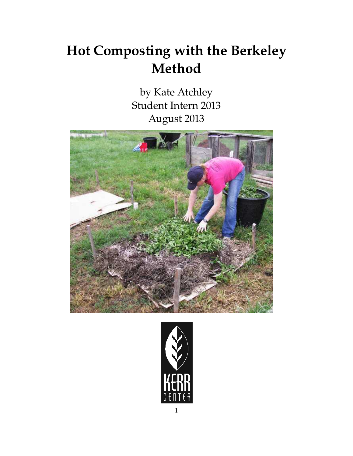## **Hot Composting with the Berkeley Method**

by Kate Atchley Student Intern 2013 August 2013



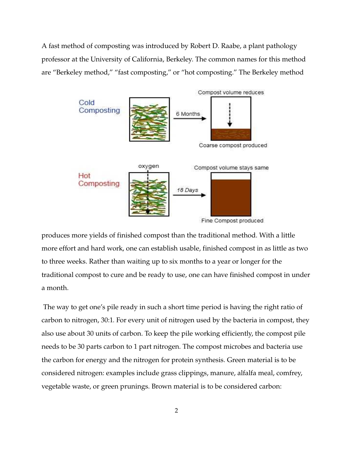A fast method of composting was introduced by Robert D. Raabe, a plant pathology professor at the University of California, Berkeley. The common names for this method are "Berkeley method," "fast composting," or "hot composting." The Berkeley method



produces more yields of finished compost than the traditional method. With a little more effort and hard work, one can establish usable, finished compost in as little as two to three weeks. Rather than waiting up to six months to a year or longer for the traditional compost to cure and be ready to use, one can have finished compost in under a month.

The way to get one's pile ready in such a short time period is having the right ratio of carbon to nitrogen, 30:1. For every unit of nitrogen used by the bacteria in compost, they also use about 30 units of carbon. To keep the pile working efficiently, the compost pile needs to be 30 parts carbon to 1 part nitrogen. The compost microbes and bacteria use the carbon for energy and the nitrogen for protein synthesis. Green material is to be considered nitrogen: examples include grass clippings, manure, alfalfa meal, comfrey, vegetable waste, or green prunings. Brown material is to be considered carbon: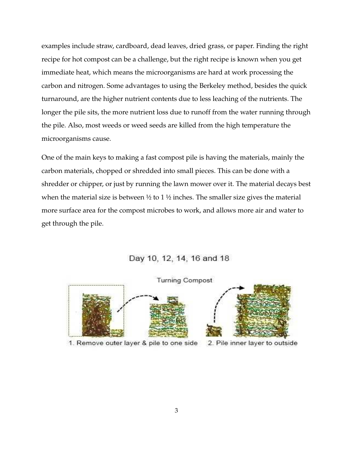examples include straw, cardboard, dead leaves, dried grass, or paper. Finding the right recipe for hot compost can be a challenge, but the right recipe is known when you get immediate heat, which means the microorganisms are hard at work processing the carbon and nitrogen. Some advantages to using the Berkeley method, besides the quick turnaround, are the higher nutrient contents due to less leaching of the nutrients. The longer the pile sits, the more nutrient loss due to runoff from the water running through the pile. Also, most weeds or weed seeds are killed from the high temperature the microorganisms cause.

One of the main keys to making a fast compost pile is having the materials, mainly the carbon materials, chopped or shredded into small pieces. This can be done with a shredder or chipper, or just by running the lawn mower over it. The material decays best when the material size is between  $\frac{1}{2}$  to 1  $\frac{1}{2}$  inches. The smaller size gives the material more surface area for the compost microbes to work, and allows more air and water to get through the pile.

## Day 10, 12, 14, 16 and 18



1. Remove outer layer & pile to one side



2. Pile inner layer to outside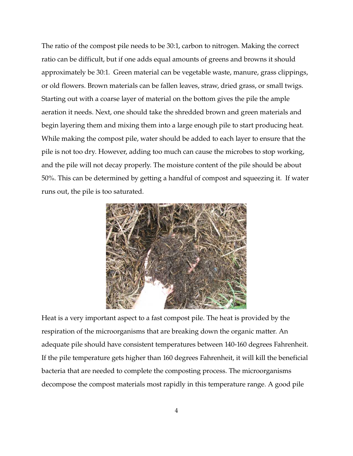The ratio of the compost pile needs to be 30:1, carbon to nitrogen. Making the correct ratio can be difficult, but if one adds equal amounts of greens and browns it should approximately be 30:1. Green material can be vegetable waste, manure, grass clippings, or old flowers. Brown materials can be fallen leaves, straw, dried grass, or small twigs. Starting out with a coarse layer of material on the bottom gives the pile the ample aeration it needs. Next, one should take the shredded brown and green materials and begin layering them and mixing them into a large enough pile to start producing heat. While making the compost pile, water should be added to each layer to ensure that the pile is not too dry. However, adding too much can cause the microbes to stop working, and the pile will not decay properly. The moisture content of the pile should be about 50%. This can be determined by getting a handful of compost and squeezing it. If water runs out, the pile is too saturated.



Heat is a very important aspect to a fast compost pile. The heat is provided by the respiration of the microorganisms that are breaking down the organic matter. An adequate pile should have consistent temperatures between 140-160 degrees Fahrenheit. If the pile temperature gets higher than 160 degrees Fahrenheit, it will kill the beneficial bacteria that are needed to complete the composting process. The microorganisms decompose the compost materials most rapidly in this temperature range. A good pile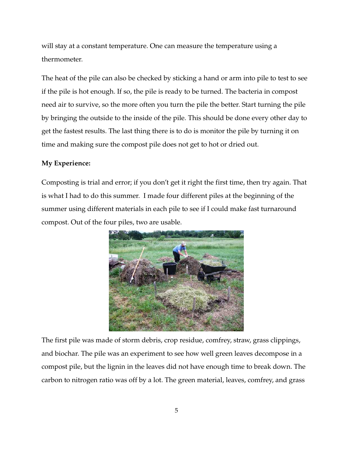will stay at a constant temperature. One can measure the temperature using a thermometer.

The heat of the pile can also be checked by sticking a hand or arm into pile to test to see if the pile is hot enough. If so, the pile is ready to be turned. The bacteria in compost need air to survive, so the more often you turn the pile the better. Start turning the pile by bringing the outside to the inside of the pile. This should be done every other day to get the fastest results. The last thing there is to do is monitor the pile by turning it on time and making sure the compost pile does not get to hot or dried out.

## **My Experience:**

Composting is trial and error; if you don't get it right the first time, then try again. That is what I had to do this summer. I made four different piles at the beginning of the summer using different materials in each pile to see if I could make fast turnaround compost. Out of the four piles, two are usable.



The first pile was made of storm debris, crop residue, comfrey, straw, grass clippings, and biochar. The pile was an experiment to see how well green leaves decompose in a compost pile, but the lignin in the leaves did not have enough time to break down. The carbon to nitrogen ratio was off by a lot. The green material, leaves, comfrey, and grass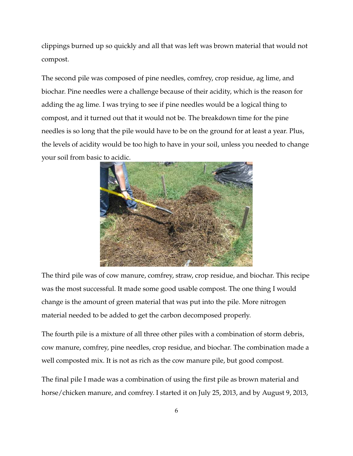clippings burned up so quickly and all that was left was brown material that would not compost.

The second pile was composed of pine needles, comfrey, crop residue, ag lime, and biochar. Pine needles were a challenge because of their acidity, which is the reason for adding the ag lime. I was trying to see if pine needles would be a logical thing to compost, and it turned out that it would not be. The breakdown time for the pine needles is so long that the pile would have to be on the ground for at least a year. Plus, the levels of acidity would be too high to have in your soil, unless you needed to change your soil from basic to acidic.



The third pile was of cow manure, comfrey, straw, crop residue, and biochar. This recipe was the most successful. It made some good usable compost. The one thing I would change is the amount of green material that was put into the pile. More nitrogen material needed to be added to get the carbon decomposed properly.

The fourth pile is a mixture of all three other piles with a combination of storm debris, cow manure, comfrey, pine needles, crop residue, and biochar. The combination made a well composted mix. It is not as rich as the cow manure pile, but good compost.

The final pile I made was a combination of using the first pile as brown material and horse/chicken manure, and comfrey. I started it on July 25, 2013, and by August 9, 2013,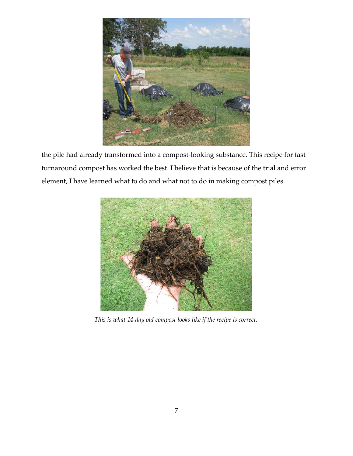

the pile had already transformed into a compost-looking substance. This recipe for fast turnaround compost has worked the best. I believe that is because of the trial and error element, I have learned what to do and what not to do in making compost piles.



This is what 14-day old compost looks like if the recipe is correct.